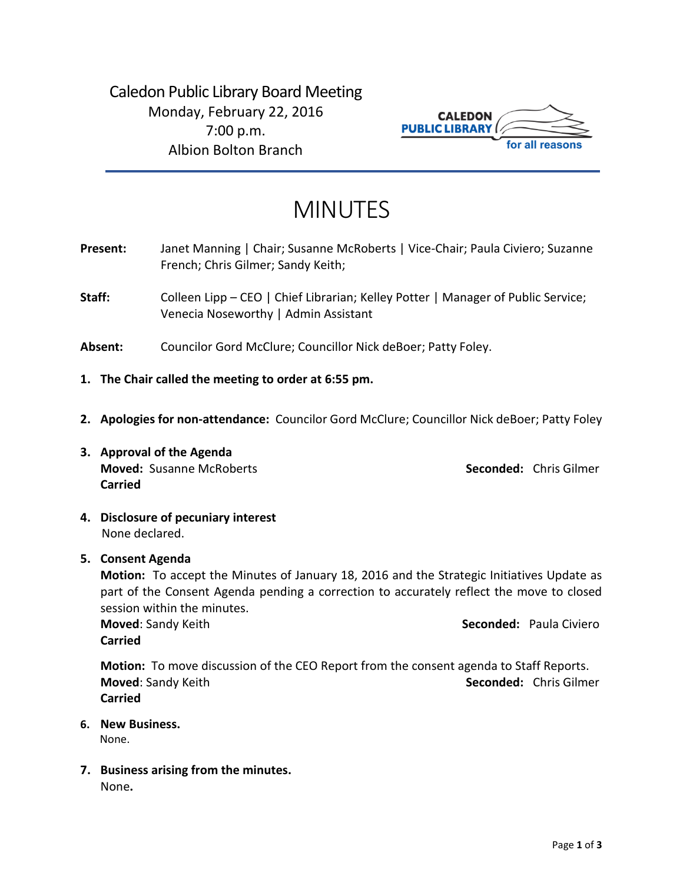Caledon Public Library Board Meeting Monday, February 22, 2016 7:00 p.m. Albion Bolton Branch



# MINUTES

- Present: Janet Manning | Chair; Susanne McRoberts | Vice-Chair; Paula Civiero; Suzanne French; Chris Gilmer; Sandy Keith;
- Staff: Colleen Lipp CEO | Chief Librarian; Kelley Potter | Manager of Public Service; Venecia Noseworthy | Admin Assistant
- **Absent:** Councilor Gord McClure; Councillor Nick deBoer; Patty Foley.
- **1. The Chair called the meeting to order at 6:55 pm.**
- **2. Apologies for non-attendance:** Councilor Gord McClure; Councillor Nick deBoer; Patty Foley
- **3. Approval of the Agenda Moved:** Susanne McRoberts **Seconded:** Chris Gilmer **Carried**

- **4. Disclosure of pecuniary interest** None declared.
- **5. Consent Agenda**

**Motion:** To accept the Minutes of January 18, 2016 and the Strategic Initiatives Update as part of the Consent Agenda pending a correction to accurately reflect the move to closed session within the minutes.

**Moved**: Sandy Keith **Seconded: Paula Civiero Seconded: Paula Civiero Carried**

**Motion:** To move discussion of the CEO Report from the consent agenda to Staff Reports. **Moved**: Sandy Keith **Seconded:** Chris Gilmer **Carried**

- **6. New Business.** None.
- **7. Business arising from the minutes.** None**.**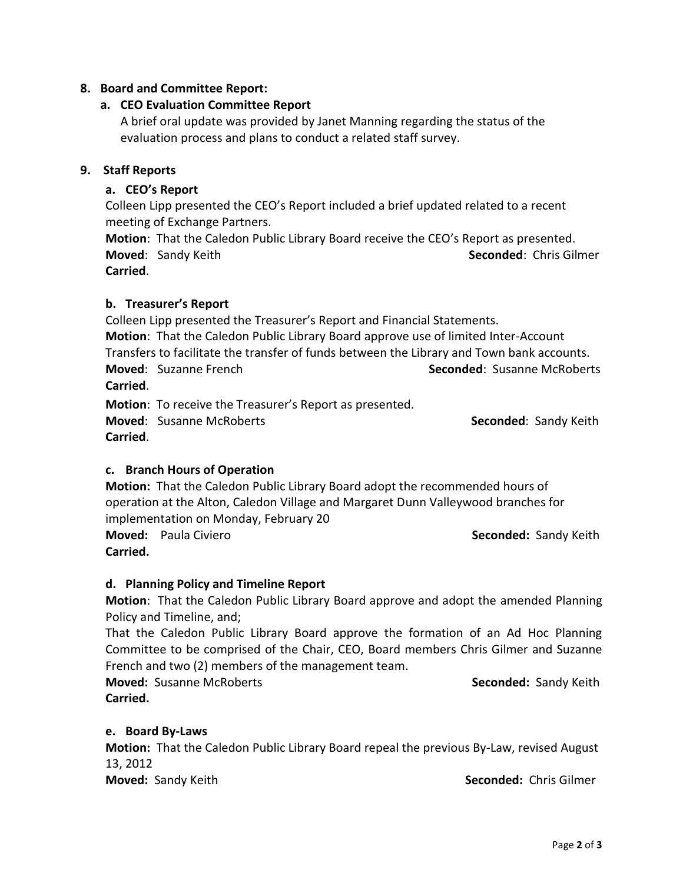# **8. Board and Committee Report:**

# **a. CEO Evaluation Committee Report**

A brief oral update was provided by Janet Manning regarding the status of the evaluation process and plans to conduct a related staff survey.

## **9. Staff Reports**

# **a. CEO's Report**

Colleen Lipp presented the CEO's Report included a brief updated related to a recent meeting of Exchange Partners.

**Motion**: That the Caledon Public Library Board receive the CEO's Report as presented. **Moved**: Sandy Keith **Seconded**: Chris Gilmer

**Carried**.

## **b. Treasurer's Report**

Colleen Lipp presented the Treasurer's Report and Financial Statements. **Motion**: That the Caledon Public Library Board approve use of limited Inter-Account Transfers to facilitate the transfer of funds between the Library and Town bank accounts. **Moved:** Suzanne French **Subset Constant Constant Seconded:** Susanne McRoberts **Carried**.

**Motion**: To receive the Treasurer's Report as presented.

**Moved:** Susanne McRoberts **Seconded:** Sandy Keith **Carried**.

# **c. Branch Hours of Operation**

**Motion:** That the Caledon Public Library Board adopt the recommended hours of operation at the Alton, Caledon Village and Margaret Dunn Valleywood branches for implementation on Monday, February 20

**Carried.**

**Moved:** Paula Civiero **Seconded: Sandy Keith** Seconded: Sandy Keith

# **d. Planning Policy and Timeline Report**

**Motion**: That the Caledon Public Library Board approve and adopt the amended Planning Policy and Timeline, and;

That the Caledon Public Library Board approve the formation of an Ad Hoc Planning Committee to be comprised of the Chair, CEO, Board members Chris Gilmer and Suzanne French and two (2) members of the management team.

**Moved:** Susanne McRoberts **Seconded:** Sandy Keith **Carried.**

#### **e. Board By-Laws**

**Motion:** That the Caledon Public Library Board repeal the previous By-Law, revised August 13, 2012

**Moved:** Sandy Keith **Seconded:** Chris Gilmer